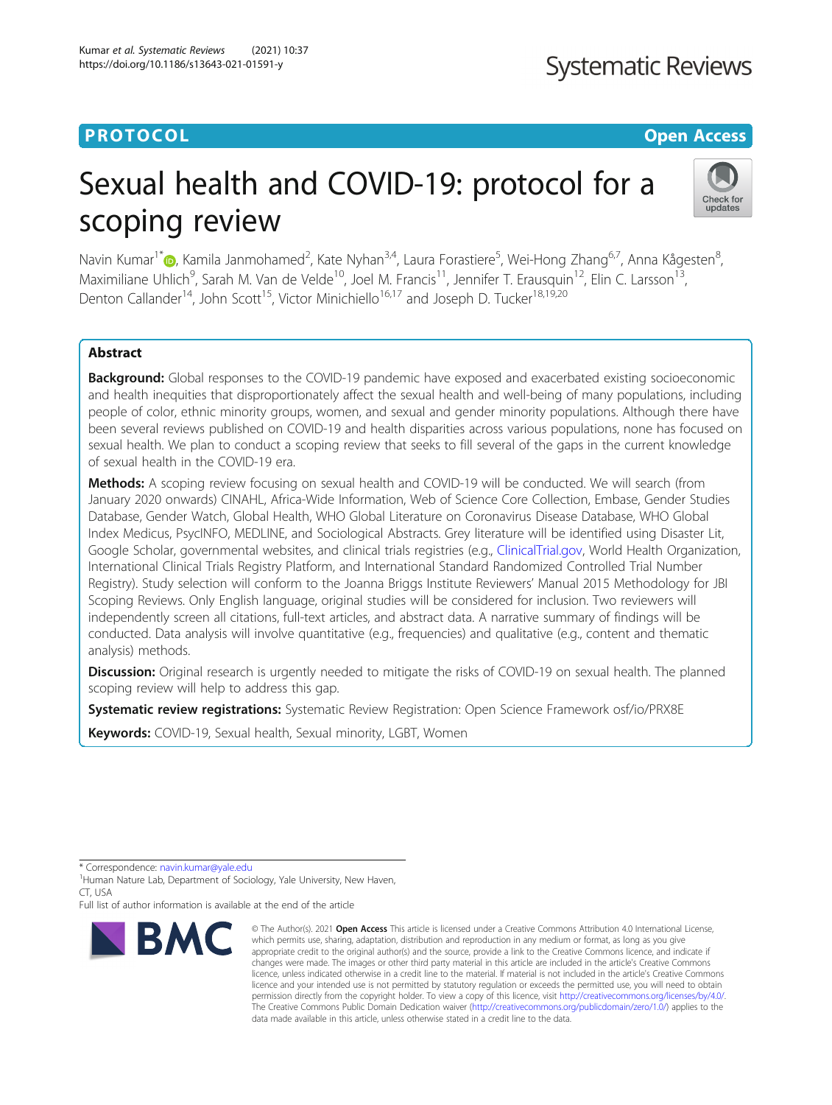## **PROTOCOL CONSIDERING CONSIDERING CONSIDERING CONSIDERING CONSIDERING CONSIDERING CONSIDERING CONSIDERING CONSIDERING CONSIDERING CONSIDERING CONSIDERING CONSIDERING CONSIDERING CONSIDERING CONSIDERING CONSIDERING CONSID**

# **Systematic Reviews**

# Sexual health and COVID-19: protocol for a scoping review



Navin Kumar<sup>1[\\*](http://orcid.org/0000-0003-4502-069X)</sup> (D, Kamila Janmohamed<sup>2</sup>, Kate Nyhan<sup>3,4</sup>, Laura Forastiere<sup>5</sup>, Wei-Hong Zhang<sup>6,7</sup>, Anna Kågesten<sup>8</sup> .<br>, Maximiliane Uhlich<sup>9</sup>, Sarah M. Van de Velde<sup>10</sup>, Joel M. Francis<sup>11</sup>, Jennifer T. Erausquin<sup>12</sup>, Elin C. Larsson<sup>13</sup>, Denton Callander<sup>14</sup>, John Scott<sup>15</sup>, Victor Minichiello<sup>16,17</sup> and Joseph D. Tucker<sup>18,19,20</sup>

### Abstract

**Background:** Global responses to the COVID-19 pandemic have exposed and exacerbated existing socioeconomic and health inequities that disproportionately affect the sexual health and well-being of many populations, including people of color, ethnic minority groups, women, and sexual and gender minority populations. Although there have been several reviews published on COVID-19 and health disparities across various populations, none has focused on sexual health. We plan to conduct a scoping review that seeks to fill several of the gaps in the current knowledge of sexual health in the COVID-19 era.

Methods: A scoping review focusing on sexual health and COVID-19 will be conducted. We will search (from January 2020 onwards) CINAHL, Africa-Wide Information, Web of Science Core Collection, Embase, Gender Studies Database, Gender Watch, Global Health, WHO Global Literature on Coronavirus Disease Database, WHO Global Index Medicus, PsycINFO, MEDLINE, and Sociological Abstracts. Grey literature will be identified using Disaster Lit, Google Scholar, governmental websites, and clinical trials registries (e.g., [ClinicalTrial.gov](http://clinicaltrial.gov), World Health Organization, International Clinical Trials Registry Platform, and International Standard Randomized Controlled Trial Number Registry). Study selection will conform to the Joanna Briggs Institute Reviewers' Manual 2015 Methodology for JBI Scoping Reviews. Only English language, original studies will be considered for inclusion. Two reviewers will independently screen all citations, full-text articles, and abstract data. A narrative summary of findings will be conducted. Data analysis will involve quantitative (e.g., frequencies) and qualitative (e.g., content and thematic analysis) methods.

Discussion: Original research is urgently needed to mitigate the risks of COVID-19 on sexual health. The planned scoping review will help to address this gap.

Systematic review registrations: Systematic Review Registration: Open Science Framework osf/io/PRX8E

Keywords: COVID-19, Sexual health, Sexual minority, LGBT, Women

Full list of author information is available at the end of the article



<sup>©</sup> The Author(s), 2021 **Open Access** This article is licensed under a Creative Commons Attribution 4.0 International License, which permits use, sharing, adaptation, distribution and reproduction in any medium or format, as long as you give appropriate credit to the original author(s) and the source, provide a link to the Creative Commons licence, and indicate if changes were made. The images or other third party material in this article are included in the article's Creative Commons licence, unless indicated otherwise in a credit line to the material. If material is not included in the article's Creative Commons licence and your intended use is not permitted by statutory regulation or exceeds the permitted use, you will need to obtain permission directly from the copyright holder. To view a copy of this licence, visit [http://creativecommons.org/licenses/by/4.0/.](http://creativecommons.org/licenses/by/4.0/) The Creative Commons Public Domain Dedication waiver [\(http://creativecommons.org/publicdomain/zero/1.0/](http://creativecommons.org/publicdomain/zero/1.0/)) applies to the data made available in this article, unless otherwise stated in a credit line to the data.

<sup>\*</sup> Correspondence: [navin.kumar@yale.edu](mailto:navin.kumar@yale.edu) <sup>1</sup>

<sup>&</sup>lt;sup>1</sup> Human Nature Lab, Department of Sociology, Yale University, New Haven,  $CT$ , USA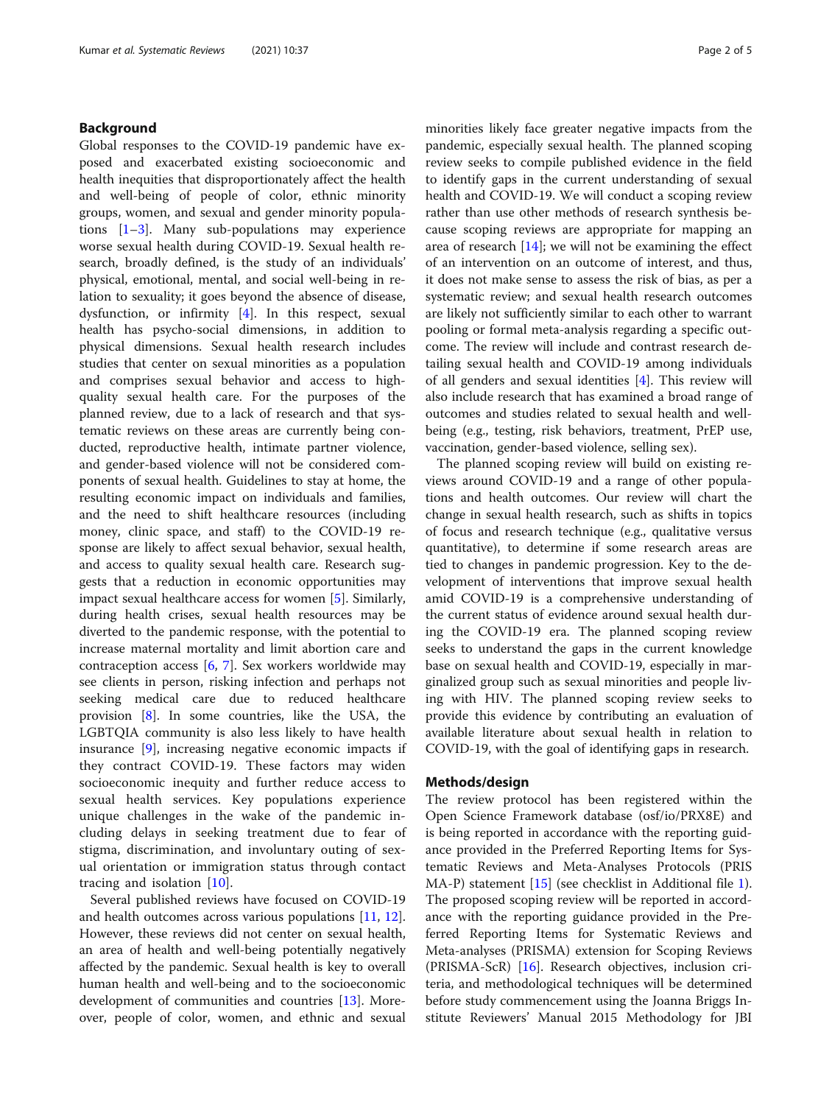### Background

Global responses to the COVID-19 pandemic have exposed and exacerbated existing socioeconomic and health inequities that disproportionately affect the health and well-being of people of color, ethnic minority groups, women, and sexual and gender minority populations [[1](#page-4-0)–[3\]](#page-4-0). Many sub-populations may experience worse sexual health during COVID-19. Sexual health research, broadly defined, is the study of an individuals' physical, emotional, mental, and social well-being in relation to sexuality; it goes beyond the absence of disease, dysfunction, or infirmity [[4\]](#page-4-0). In this respect, sexual health has psycho-social dimensions, in addition to physical dimensions. Sexual health research includes studies that center on sexual minorities as a population and comprises sexual behavior and access to highquality sexual health care. For the purposes of the planned review, due to a lack of research and that systematic reviews on these areas are currently being conducted, reproductive health, intimate partner violence, and gender-based violence will not be considered components of sexual health. Guidelines to stay at home, the resulting economic impact on individuals and families, and the need to shift healthcare resources (including money, clinic space, and staff) to the COVID-19 response are likely to affect sexual behavior, sexual health, and access to quality sexual health care. Research suggests that a reduction in economic opportunities may impact sexual healthcare access for women [\[5](#page-4-0)]. Similarly, during health crises, sexual health resources may be diverted to the pandemic response, with the potential to increase maternal mortality and limit abortion care and contraception access [[6,](#page-4-0) [7](#page-4-0)]. Sex workers worldwide may see clients in person, risking infection and perhaps not seeking medical care due to reduced healthcare provision [\[8](#page-4-0)]. In some countries, like the USA, the LGBTQIA community is also less likely to have health insurance [\[9](#page-4-0)], increasing negative economic impacts if they contract COVID-19. These factors may widen socioeconomic inequity and further reduce access to sexual health services. Key populations experience unique challenges in the wake of the pandemic including delays in seeking treatment due to fear of stigma, discrimination, and involuntary outing of sexual orientation or immigration status through contact tracing and isolation [\[10](#page-4-0)].

Several published reviews have focused on COVID-19 and health outcomes across various populations [\[11](#page-4-0), [12](#page-4-0)]. However, these reviews did not center on sexual health, an area of health and well-being potentially negatively affected by the pandemic. Sexual health is key to overall human health and well-being and to the socioeconomic development of communities and countries [[13](#page-4-0)]. Moreover, people of color, women, and ethnic and sexual

minorities likely face greater negative impacts from the pandemic, especially sexual health. The planned scoping review seeks to compile published evidence in the field to identify gaps in the current understanding of sexual health and COVID-19. We will conduct a scoping review rather than use other methods of research synthesis because scoping reviews are appropriate for mapping an area of research [[14\]](#page-4-0); we will not be examining the effect of an intervention on an outcome of interest, and thus, it does not make sense to assess the risk of bias, as per a systematic review; and sexual health research outcomes are likely not sufficiently similar to each other to warrant pooling or formal meta-analysis regarding a specific outcome. The review will include and contrast research detailing sexual health and COVID-19 among individuals of all genders and sexual identities [[4\]](#page-4-0). This review will also include research that has examined a broad range of outcomes and studies related to sexual health and wellbeing (e.g., testing, risk behaviors, treatment, PrEP use, vaccination, gender-based violence, selling sex).

The planned scoping review will build on existing reviews around COVID-19 and a range of other populations and health outcomes. Our review will chart the change in sexual health research, such as shifts in topics of focus and research technique (e.g., qualitative versus quantitative), to determine if some research areas are tied to changes in pandemic progression. Key to the development of interventions that improve sexual health amid COVID-19 is a comprehensive understanding of the current status of evidence around sexual health during the COVID-19 era. The planned scoping review seeks to understand the gaps in the current knowledge base on sexual health and COVID-19, especially in marginalized group such as sexual minorities and people living with HIV. The planned scoping review seeks to provide this evidence by contributing an evaluation of available literature about sexual health in relation to COVID-19, with the goal of identifying gaps in research.

#### Methods/design

The review protocol has been registered within the Open Science Framework database (osf/io/PRX8E) and is being reported in accordance with the reporting guidance provided in the Preferred Reporting Items for Systematic Reviews and Meta-Analyses Protocols (PRIS MA-P) statement [\[15](#page-4-0)] (see checklist in Additional file [1](#page-3-0)). The proposed scoping review will be reported in accordance with the reporting guidance provided in the Preferred Reporting Items for Systematic Reviews and Meta-analyses (PRISMA) extension for Scoping Reviews (PRISMA-ScR) [\[16\]](#page-4-0). Research objectives, inclusion criteria, and methodological techniques will be determined before study commencement using the Joanna Briggs Institute Reviewers' Manual 2015 Methodology for JBI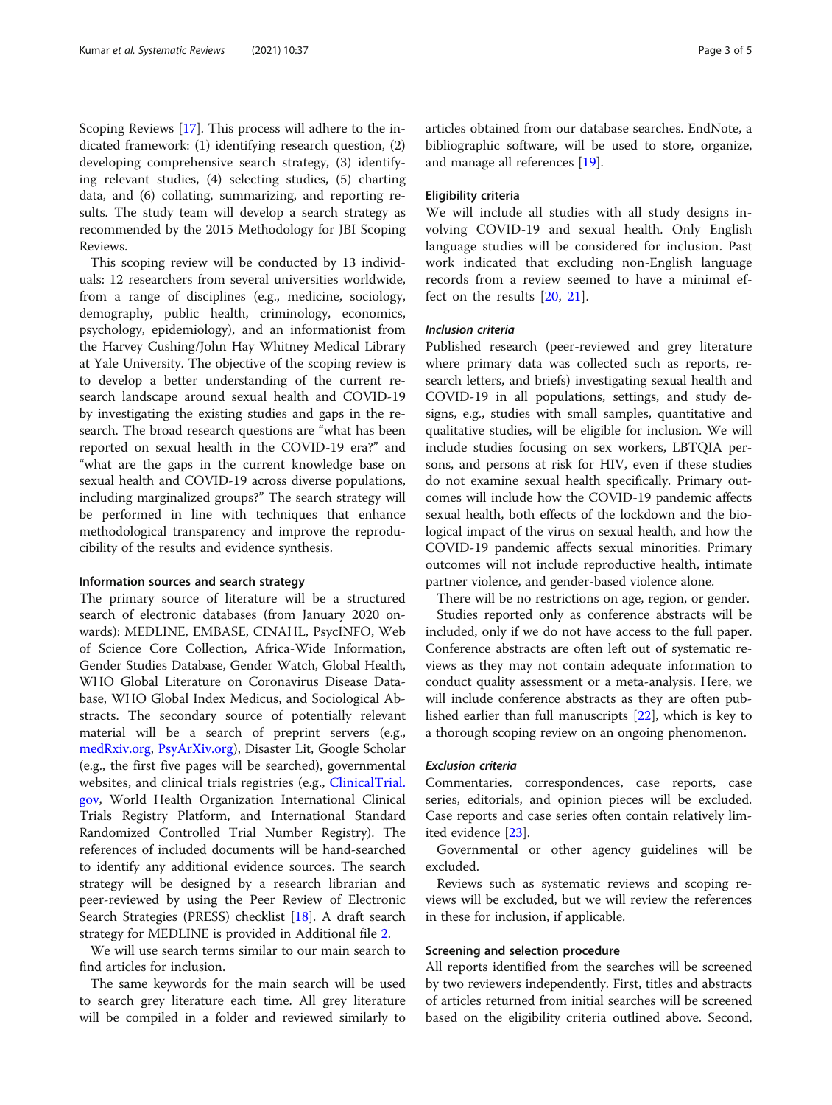Scoping Reviews [[17\]](#page-4-0). This process will adhere to the indicated framework: (1) identifying research question, (2) developing comprehensive search strategy, (3) identifying relevant studies, (4) selecting studies, (5) charting data, and (6) collating, summarizing, and reporting results. The study team will develop a search strategy as recommended by the 2015 Methodology for JBI Scoping Reviews.

This scoping review will be conducted by 13 individuals: 12 researchers from several universities worldwide, from a range of disciplines (e.g., medicine, sociology, demography, public health, criminology, economics, psychology, epidemiology), and an informationist from the Harvey Cushing/John Hay Whitney Medical Library at Yale University. The objective of the scoping review is to develop a better understanding of the current research landscape around sexual health and COVID-19 by investigating the existing studies and gaps in the research. The broad research questions are "what has been reported on sexual health in the COVID-19 era?" and "what are the gaps in the current knowledge base on sexual health and COVID-19 across diverse populations, including marginalized groups?" The search strategy will be performed in line with techniques that enhance methodological transparency and improve the reproducibility of the results and evidence synthesis.

#### Information sources and search strategy

The primary source of literature will be a structured search of electronic databases (from January 2020 onwards): MEDLINE, EMBASE, CINAHL, PsycINFO, Web of Science Core Collection, Africa-Wide Information, Gender Studies Database, Gender Watch, Global Health, WHO Global Literature on Coronavirus Disease Database, WHO Global Index Medicus, and Sociological Abstracts. The secondary source of potentially relevant material will be a search of preprint servers (e.g., [medRxiv.org](http://medrxiv.org), [PsyArXiv.org](http://psyarxiv.org)), Disaster Lit, Google Scholar (e.g., the first five pages will be searched), governmental websites, and clinical trials registries (e.g., [ClinicalTrial.](http://clinicaltrial.gov) [gov](http://clinicaltrial.gov), World Health Organization International Clinical Trials Registry Platform, and International Standard Randomized Controlled Trial Number Registry). The references of included documents will be hand-searched to identify any additional evidence sources. The search strategy will be designed by a research librarian and peer-reviewed by using the Peer Review of Electronic Search Strategies (PRESS) checklist [\[18](#page-4-0)]. A draft search strategy for MEDLINE is provided in Additional file [2.](#page-3-0)

We will use search terms similar to our main search to find articles for inclusion.

The same keywords for the main search will be used to search grey literature each time. All grey literature will be compiled in a folder and reviewed similarly to

articles obtained from our database searches. EndNote, a bibliographic software, will be used to store, organize, and manage all references [\[19\]](#page-4-0).

#### Eligibility criteria

We will include all studies with all study designs involving COVID-19 and sexual health. Only English language studies will be considered for inclusion. Past work indicated that excluding non-English language records from a review seemed to have a minimal effect on the results [[20](#page-4-0), [21](#page-4-0)].

#### Inclusion criteria

Published research (peer-reviewed and grey literature where primary data was collected such as reports, research letters, and briefs) investigating sexual health and COVID-19 in all populations, settings, and study designs, e.g., studies with small samples, quantitative and qualitative studies, will be eligible for inclusion. We will include studies focusing on sex workers, LBTQIA persons, and persons at risk for HIV, even if these studies do not examine sexual health specifically. Primary outcomes will include how the COVID-19 pandemic affects sexual health, both effects of the lockdown and the biological impact of the virus on sexual health, and how the COVID-19 pandemic affects sexual minorities. Primary outcomes will not include reproductive health, intimate partner violence, and gender-based violence alone.

There will be no restrictions on age, region, or gender.

Studies reported only as conference abstracts will be included, only if we do not have access to the full paper. Conference abstracts are often left out of systematic reviews as they may not contain adequate information to conduct quality assessment or a meta-analysis. Here, we will include conference abstracts as they are often published earlier than full manuscripts [[22](#page-4-0)], which is key to a thorough scoping review on an ongoing phenomenon.

#### Exclusion criteria

Commentaries, correspondences, case reports, case series, editorials, and opinion pieces will be excluded. Case reports and case series often contain relatively limited evidence [\[23](#page-4-0)].

Governmental or other agency guidelines will be excluded.

Reviews such as systematic reviews and scoping reviews will be excluded, but we will review the references in these for inclusion, if applicable.

#### Screening and selection procedure

All reports identified from the searches will be screened by two reviewers independently. First, titles and abstracts of articles returned from initial searches will be screened based on the eligibility criteria outlined above. Second,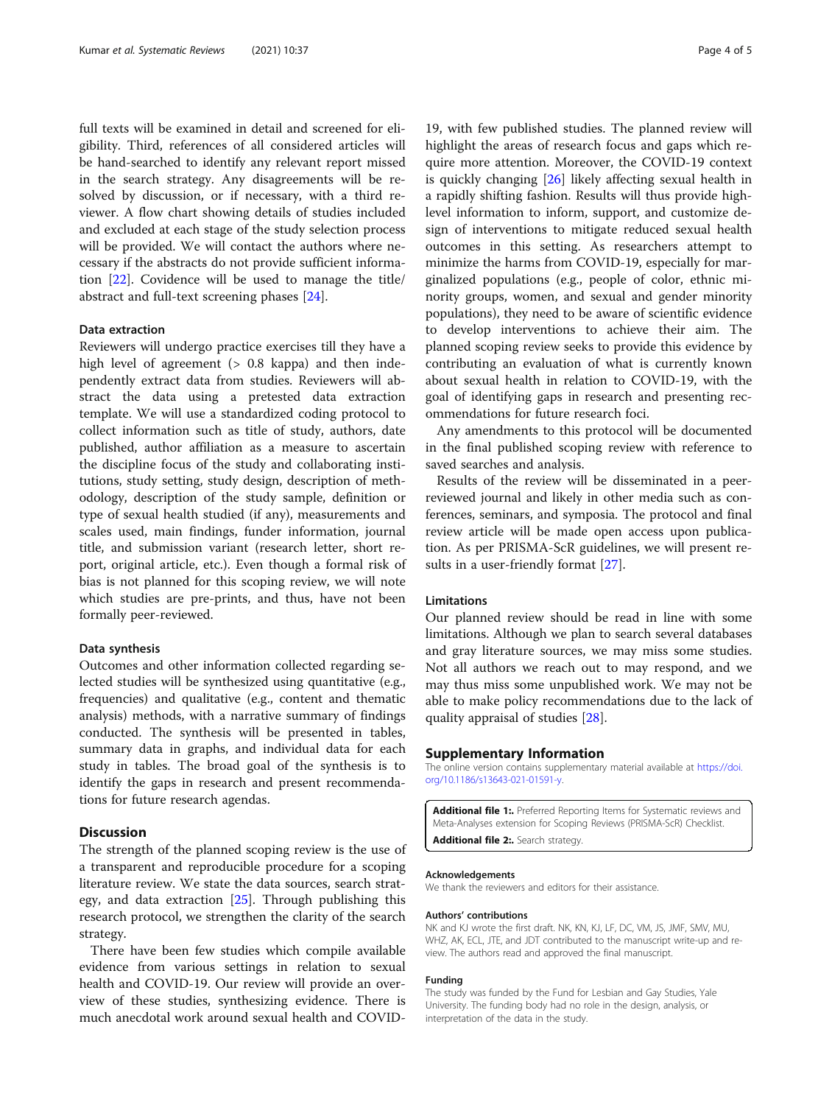<span id="page-3-0"></span>full texts will be examined in detail and screened for eligibility. Third, references of all considered articles will be hand-searched to identify any relevant report missed in the search strategy. Any disagreements will be resolved by discussion, or if necessary, with a third reviewer. A flow chart showing details of studies included and excluded at each stage of the study selection process will be provided. We will contact the authors where necessary if the abstracts do not provide sufficient information [[22\]](#page-4-0). Covidence will be used to manage the title/ abstract and full-text screening phases [[24\]](#page-4-0).

#### Data extraction

Reviewers will undergo practice exercises till they have a high level of agreement ( $> 0.8$  kappa) and then independently extract data from studies. Reviewers will abstract the data using a pretested data extraction template. We will use a standardized coding protocol to collect information such as title of study, authors, date published, author affiliation as a measure to ascertain the discipline focus of the study and collaborating institutions, study setting, study design, description of methodology, description of the study sample, definition or type of sexual health studied (if any), measurements and scales used, main findings, funder information, journal title, and submission variant (research letter, short report, original article, etc.). Even though a formal risk of bias is not planned for this scoping review, we will note which studies are pre-prints, and thus, have not been formally peer-reviewed.

#### Data synthesis

Outcomes and other information collected regarding selected studies will be synthesized using quantitative (e.g., frequencies) and qualitative (e.g., content and thematic analysis) methods, with a narrative summary of findings conducted. The synthesis will be presented in tables, summary data in graphs, and individual data for each study in tables. The broad goal of the synthesis is to identify the gaps in research and present recommendations for future research agendas.

#### **Discussion**

The strength of the planned scoping review is the use of a transparent and reproducible procedure for a scoping literature review. We state the data sources, search strategy, and data extraction [[25\]](#page-4-0). Through publishing this research protocol, we strengthen the clarity of the search strategy.

There have been few studies which compile available evidence from various settings in relation to sexual health and COVID-19. Our review will provide an overview of these studies, synthesizing evidence. There is much anecdotal work around sexual health and COVID-

19, with few published studies. The planned review will highlight the areas of research focus and gaps which require more attention. Moreover, the COVID-19 context is quickly changing [[26\]](#page-4-0) likely affecting sexual health in a rapidly shifting fashion. Results will thus provide highlevel information to inform, support, and customize design of interventions to mitigate reduced sexual health outcomes in this setting. As researchers attempt to minimize the harms from COVID-19, especially for marginalized populations (e.g., people of color, ethnic minority groups, women, and sexual and gender minority populations), they need to be aware of scientific evidence to develop interventions to achieve their aim. The planned scoping review seeks to provide this evidence by contributing an evaluation of what is currently known about sexual health in relation to COVID-19, with the goal of identifying gaps in research and presenting recommendations for future research foci.

Any amendments to this protocol will be documented in the final published scoping review with reference to saved searches and analysis.

Results of the review will be disseminated in a peerreviewed journal and likely in other media such as conferences, seminars, and symposia. The protocol and final review article will be made open access upon publication. As per PRISMA-ScR guidelines, we will present results in a user-friendly format [[27\]](#page-4-0).

#### Limitations

Our planned review should be read in line with some limitations. Although we plan to search several databases and gray literature sources, we may miss some studies. Not all authors we reach out to may respond, and we may thus miss some unpublished work. We may not be able to make policy recommendations due to the lack of quality appraisal of studies [[28\]](#page-4-0).

#### Supplementary Information

The online version contains supplementary material available at [https://doi.](https://doi.org/10.1186/s13643-021-01591-y) [org/10.1186/s13643-021-01591-y](https://doi.org/10.1186/s13643-021-01591-y).

Additional file 1:. Preferred Reporting Items for Systematic reviews and Meta-Analyses extension for Scoping Reviews (PRISMA-ScR) Checklist. Additional file 2:. Search strategy.

#### Acknowledgements

We thank the reviewers and editors for their assistance.

#### Authors' contributions

NK and KJ wrote the first draft. NK, KN, KJ, LF, DC, VM, JS, JMF, SMV, MU, WHZ, AK, ECL, JTE, and JDT contributed to the manuscript write-up and review. The authors read and approved the final manuscript.

#### Funding

The study was funded by the Fund for Lesbian and Gay Studies, Yale University. The funding body had no role in the design, analysis, or interpretation of the data in the study.